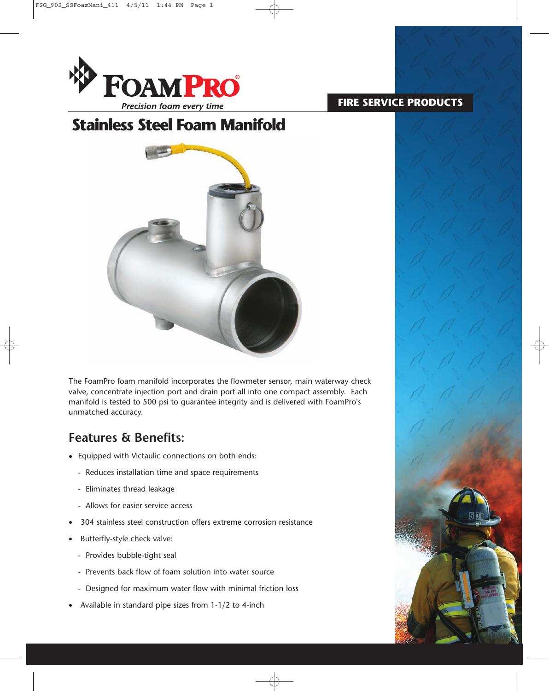

### **FIRE SERVICE PRODUCTS**

# **Stainless Steel Foam Manifold**



The FoamPro foam manifold incorporates the flowmeter sensor, main waterway check valve, concentrate injection port and drain port all into one compact assembly. Each manifold is tested to 500 psi to guarantee integrity and is delivered with FoamPro's unmatched accuracy.

## **Features & Benefits:**

- Equipped with Victaulic connections on both ends:
	- Reduces installation time and space requirements
	- Eliminates thread leakage
	- Allows for easier service access
- 304 stainless steel construction offers extreme corrosion resistance
- Butterfly-style check valve:
	- Provides bubble-tight seal
	- Prevents back flow of foam solution into water source
	- Designed for maximum water flow with minimal friction loss
- Available in standard pipe sizes from 1-1/2 to 4-inch